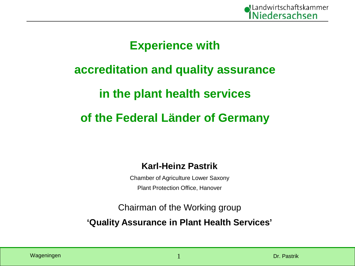

### **Experience with**

## **accreditation and quality assurance**

## **in the plant health services**

## **of the Federal Länder of Germany**

#### **Karl-Heinz Pastrik**

Chamber of Agriculture Lower Saxony Plant Protection Office, Hanover

Chairman of the Working group **'Quality Assurance in Plant Health Services'**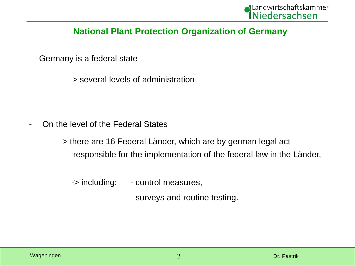#### **National Plant Protection Organization of Germany**

- Germany is a federal state

-> several levels of administration

On the level of the Federal States

-> there are 16 Federal Länder, which are by german legal act responsible for the implementation of the federal law in the Länder,

- -> including: control measures,
	- surveys and routine testing.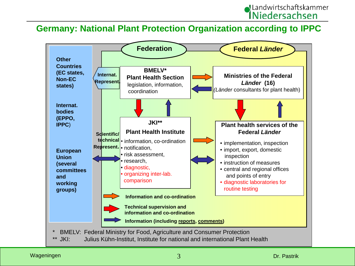

#### **Germany: National Plant Protection Organization according to IPPC**

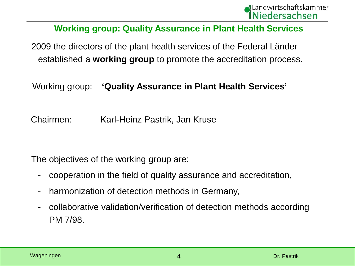

#### **Working group: Quality Assurance in Plant Health Services**

2009 the directors of the plant health services of the Federal Länder established a **working group** to promote the accreditation process.

#### Working group: **'Quality Assurance in Plant Health Services'**

Chairmen: Karl-Heinz Pastrik, Jan Kruse

The objectives of the working group are:

- cooperation in the field of quality assurance and accreditation,
- harmonization of detection methods in Germany,
- collaborative validation/verification of detection methods according PM 7/98.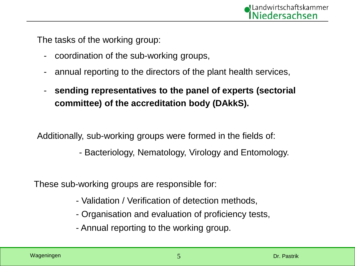The tasks of the working group:

- coordination of the sub-working groups,
- annual reporting to the directors of the plant health services,
- **sending representatives to the panel of experts (sectorial committee) of the accreditation body (DAkkS).**

Additionally, sub-working groups were formed in the fields of:

- Bacteriology, Nematology, Virology and Entomology.

These sub-working groups are responsible for:

- Validation / Verification of detection methods,
- Organisation and evaluation of proficiency tests,
- Annual reporting to the working group.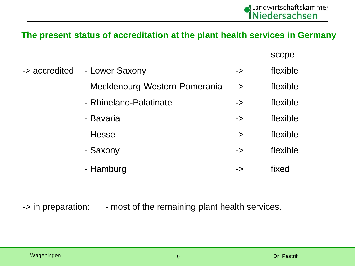#### **The present status of accreditation at the plant health services in Germany**

|                                 |               | scope    |
|---------------------------------|---------------|----------|
| -> accredited: - Lower Saxony   | $\Rightarrow$ | flexible |
| - Mecklenburg-Western-Pomerania | $\Rightarrow$ | flexible |
| - Rhineland-Palatinate          | $\rightarrow$ | flexible |
| - Bavaria                       | $\Rightarrow$ | flexible |
| - Hesse                         | $\rightarrow$ | flexible |
| - Saxony                        | $\rightarrow$ | flexible |
| - Hamburg                       | ->            | fixed    |

-> in preparation: - most of the remaining plant health services.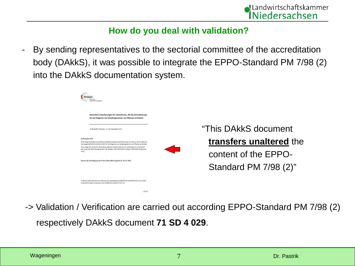

#### **How do you deal with validation?**

By sending representatives to the sectorial committee of the accreditation body (DAkkS), it was possible to integrate the EPPO-Standard PM 7/98 (2) into the DAkkS documentation system.

| "This DAkkS document    |
|-------------------------|
| transfers unaltered the |
| content of the EPPO-    |
| Standard PM 7/98 (2)"   |
|                         |

-> Validation / Verification are carried out according EPPO-Standard PM 7/98 (2) respectively DAkkS document **71 SD 4 029**.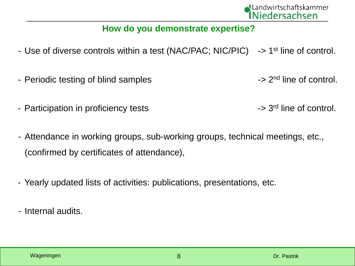

#### **How do you demonstrate expertise?**

- Use of diverse controls within a test (NAC/PAC; NIC/PIC)  $\rightarrow$  1<sup>st</sup> line of control.
- Periodic testing of blind samples  $>$  2<sup>nd</sup> line of control.
- Participation in proficiency tests  $\sim$  3<sup>rd</sup> line of control.
	-
- Attendance in working groups, sub-working groups, technical meetings, etc., (confirmed by certificates of attendance),
- Yearly updated lists of activities: publications, presentations, etc.
- Internal audits.